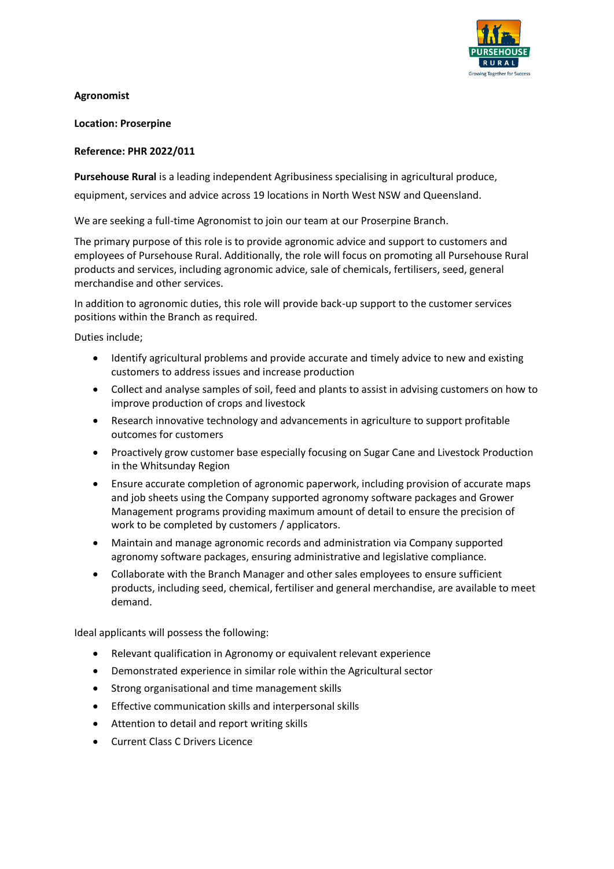

**Agronomist**

**Location: Proserpine**

## **Reference: PHR 2022/011**

**Pursehouse Rural** is a leading independent Agribusiness specialising in agricultural produce,

equipment, services and advice across 19 locations in North West NSW and Queensland.

We are seeking a full-time Agronomist to join our team at our Proserpine Branch.

The primary purpose of this role is to provide agronomic advice and support to customers and employees of Pursehouse Rural. Additionally, the role will focus on promoting all Pursehouse Rural products and services, including agronomic advice, sale of chemicals, fertilisers, seed, general merchandise and other services.

In addition to agronomic duties, this role will provide back-up support to the customer services positions within the Branch as required.

Duties include;

- Identify agricultural problems and provide accurate and timely advice to new and existing customers to address issues and increase production
- Collect and analyse samples of soil, feed and plants to assist in advising customers on how to improve production of crops and livestock
- Research innovative technology and advancements in agriculture to support profitable outcomes for customers
- Proactively grow customer base especially focusing on Sugar Cane and Livestock Production in the Whitsunday Region
- Ensure accurate completion of agronomic paperwork, including provision of accurate maps and job sheets using the Company supported agronomy software packages and Grower Management programs providing maximum amount of detail to ensure the precision of work to be completed by customers / applicators.
- Maintain and manage agronomic records and administration via Company supported agronomy software packages, ensuring administrative and legislative compliance.
- Collaborate with the Branch Manager and other sales employees to ensure sufficient products, including seed, chemical, fertiliser and general merchandise, are available to meet demand.

Ideal applicants will possess the following:

- Relevant qualification in Agronomy or equivalent relevant experience
- Demonstrated experience in similar role within the Agricultural sector
- Strong organisational and time management skills
- Effective communication skills and interpersonal skills
- Attention to detail and report writing skills
- Current Class C Drivers Licence